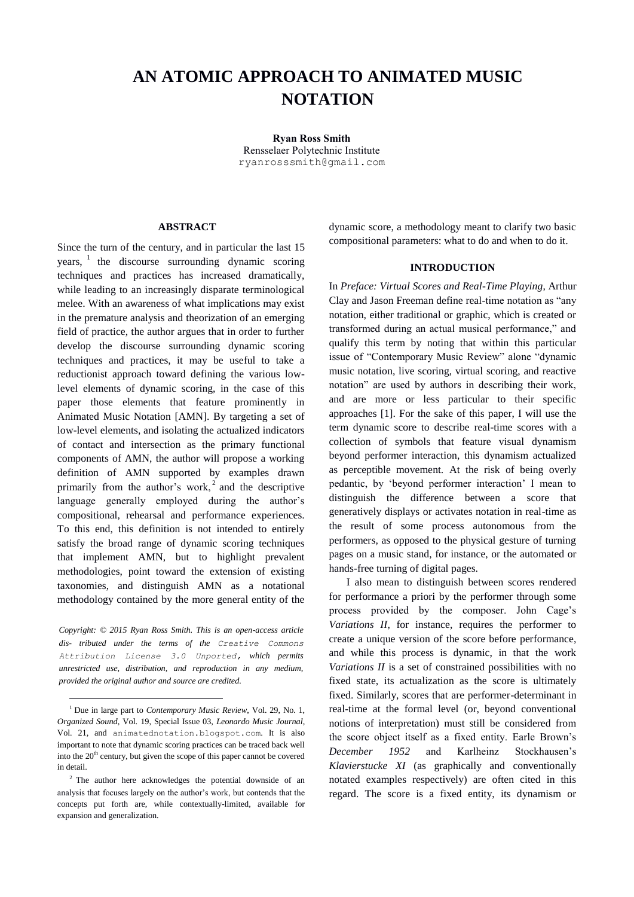# **AN ATOMIC APPROACH TO ANIMATED MUSIC NOTATION**

**Ryan Ross Smith** Rensselaer Polytechnic Institute [ryanrosssmith@gmail.com](mailto:author2@adomain.org)

## **ABSTRACT**

Since the turn of the century, and in particular the last 15 years,  $\frac{1}{1}$  the discourse surrounding dynamic scoring techniques and practices has increased dramatically, while leading to an increasingly disparate terminological melee. With an awareness of what implications may exist in the premature analysis and theorization of an emerging field of practice, the author argues that in order to further develop the discourse surrounding dynamic scoring techniques and practices, it may be useful to take a reductionist approach toward defining the various lowlevel elements of dynamic scoring, in the case of this paper those elements that feature prominently in Animated Music Notation [AMN]. By targeting a set of low-level elements, and isolating the actualized indicators of contact and intersection as the primary functional components of AMN, the author will propose a working definition of AMN supported by examples drawn primarily from the author's work,<sup>2</sup> and the descriptive language generally employed during the author's compositional, rehearsal and performance experiences. To this end, this definition is not intended to entirely satisfy the broad range of dynamic scoring techniques that implement AMN, but to highlight prevalent methodologies, point toward the extension of existing taxonomies, and distinguish AMN as a notational methodology contained by the more general entity of the

*Copyright: © 2015 Ryan Ross Smith. This is an open-access article dis- tributed under the terms of the [Creative Commons](http://creativecommons.org/licenses/by/3.0/)  [Attribution License 3.0 Unported,](http://creativecommons.org/licenses/by/3.0/) which permits unrestricted use, distribution, and reproduction in any medium, provided the original author and source are credited.*

-

dynamic score, a methodology meant to clarify two basic compositional parameters: what to do and when to do it.

#### **INTRODUCTION**

In *Preface: Virtual Scores and Real-Time Playing*, Arthur Clay and Jason Freeman define real-time notation as "any notation, either traditional or graphic, which is created or transformed during an actual musical performance," and qualify this term by noting that within this particular issue of "Contemporary Music Review" alone "dynamic music notation, live scoring, virtual scoring, and reactive notation" are used by authors in describing their work, and are more or less particular to their specific approaches [1]. For the sake of this paper, I will use the term dynamic score to describe real-time scores with a collection of symbols that feature visual dynamism beyond performer interaction, this dynamism actualized as perceptible movement. At the risk of being overly pedantic, by 'beyond performer interaction' I mean to distinguish the difference between a score that generatively displays or activates notation in real-time as the result of some process autonomous from the performers, as opposed to the physical gesture of turning pages on a music stand, for instance, or the automated or hands-free turning of digital pages.

 I also mean to distinguish between scores rendered for performance a priori by the performer through some process provided by the composer. John Cage's *Variations II*, for instance, requires the performer to create a unique version of the score before performance, and while this process is dynamic, in that the work *Variations II* is a set of constrained possibilities with no fixed state, its actualization as the score is ultimately fixed. Similarly, scores that are performer-determinant in real-time at the formal level (or, beyond conventional notions of interpretation) must still be considered from the score object itself as a fixed entity. Earle Brown's *December 1952* and Karlheinz Stockhausen's *Klavierstucke XI* (as graphically and conventionally notated examples respectively) are often cited in this regard. The score is a fixed entity, its dynamism or

<sup>1</sup> Due in large part to *Contemporary Music Review*, Vol. 29, No. 1, *Organized Sound*, Vol. 19, Special Issue 03, *Leonardo Music Journal*, Vol. 21, and <animatednotation.blogspot.com>. It is also important to note that dynamic scoring practices can be traced back well into the  $20<sup>th</sup>$  century, but given the scope of this paper cannot be covered in detail.

<sup>2</sup> The author here acknowledges the potential downside of an analysis that focuses largely on the author's work, but contends that the concepts put forth are, while contextually-limited, available for expansion and generalization.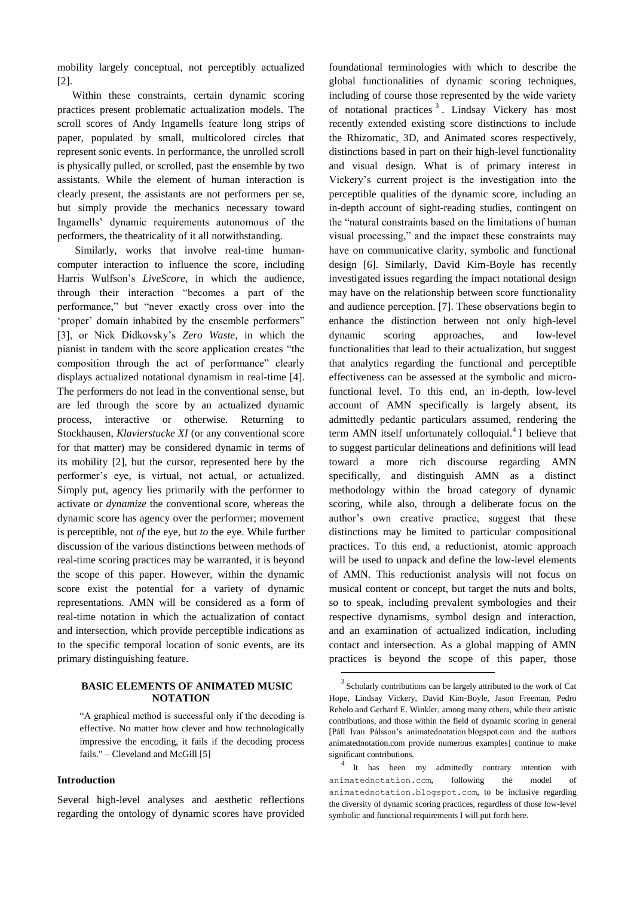mobility largely conceptual, not perceptibly actualized [2].

Within these constraints, certain dynamic scoring practices present problematic actualization models. The scroll scores of Andy Ingamells feature long strips of paper, populated by small, multicolored circles that represent sonic events. In performance, the unrolled scroll is physically pulled, or scrolled, past the ensemble by two assistants. While the element of human interaction is clearly present, the assistants are not performers per se, but simply provide the mechanics necessary toward Ingamells' dynamic requirements autonomous of the performers, the theatricality of it all notwithstanding.

 Similarly, works that involve real-time humancomputer interaction to influence the score, including Harris Wulfson's *LiveScore*, in which the audience, through their interaction "becomes a part of the performance," but "never exactly cross over into the 'proper' domain inhabited by the ensemble performers" [3], or Nick Didkovsky's *Zero Waste*, in which the pianist in tandem with the score application creates "the composition through the act of performance" clearly displays actualized notational dynamism in real-time [4]. The performers do not lead in the conventional sense, but are led through the score by an actualized dynamic process, interactive or otherwise. Returning to Stockhausen, *Klavierstucke XI* (or any conventional score for that matter) may be considered dynamic in terms of its mobility [2], but the cursor, represented here by the performer's eye, is virtual, not actual, or actualized. Simply put, agency lies primarily with the performer to activate or *dynamize* the conventional score, whereas the dynamic score has agency over the performer; movement is perceptible, not *of* the eye, but *to* the eye. While further discussion of the various distinctions between methods of real-time scoring practices may be warranted, it is beyond the scope of this paper. However, within the dynamic score exist the potential for a variety of dynamic representations. AMN will be considered as a form of real-time notation in which the actualization of contact and intersection, which provide perceptible indications as to the specific temporal location of sonic events, are its primary distinguishing feature.

## **BASIC ELEMENTS OF ANIMATED MUSIC NOTATION**

"A graphical method is successful only if the decoding is effective. No matter how clever and how technologically impressive the encoding, it fails if the decoding process fails." – Cleveland and McGill [5]

#### **Introduction**

Several high-level analyses and aesthetic reflections regarding the ontology of dynamic scores have provided

foundational terminologies with which to describe the global functionalities of dynamic scoring techniques, including of course those represented by the wide variety of notational practices<sup>3</sup>. Lindsay Vickery has most recently extended existing score distinctions to include the Rhizomatic, 3D, and Animated scores respectively, distinctions based in part on their high-level functionality and visual design. What is of primary interest in Vickery's current project is the investigation into the perceptible qualities of the dynamic score, including an in-depth account of sight-reading studies, contingent on the "natural constraints based on the limitations of human visual processing," and the impact these constraints may have on communicative clarity, symbolic and functional design [6]. Similarly, David Kim-Boyle has recently investigated issues regarding the impact notational design may have on the relationship between score functionality and audience perception. [7]. These observations begin to enhance the distinction between not only high-level dynamic scoring approaches, and low-level functionalities that lead to their actualization, but suggest that analytics regarding the functional and perceptible effectiveness can be assessed at the symbolic and microfunctional level. To this end, an in-depth, low-level account of AMN specifically is largely absent, its admittedly pedantic particulars assumed, rendering the term AMN itself unfortunately colloquial. 4 I believe that to suggest particular delineations and definitions will lead toward a more rich discourse regarding AMN specifically, and distinguish AMN as a distinct methodology within the broad category of dynamic scoring, while also, through a deliberate focus on the author's own creative practice, suggest that these distinctions may be limited to particular compositional practices. To this end, a reductionist, atomic approach will be used to unpack and define the low-level elements of AMN. This reductionist analysis will not focus on musical content or concept, but target the nuts and bolts, so to speak, including prevalent symbologies and their respective dynamisms, symbol design and interaction, and an examination of actualized indication, including contact and intersection. As a global mapping of AMN practices is beyond the scope of this paper, those

-

<sup>&</sup>lt;sup>3</sup> Scholarly contributions can be largely attributed to the work of Cat Hope, Lindsay Vickery, David Kim-Boyle, Jason Freeman, Pedro Rebelo and Gerhard E. Winkler, among many others, while their artistic contributions, and those within the field of dynamic scoring in general [Páll Ivan Pálsson's animatednotation.blogspot.com and the authors animatednotation.com provide numerous examples] continue to make significant contributions.

<sup>&</sup>lt;sup>4</sup> It has been my admittedly contrary intention with <animatednotation.com>, following the model of <animatednotation.blogspot.com>, to be inclusive regarding the diversity of dynamic scoring practices, regardless of those low-level symbolic and functional requirements I will put forth here.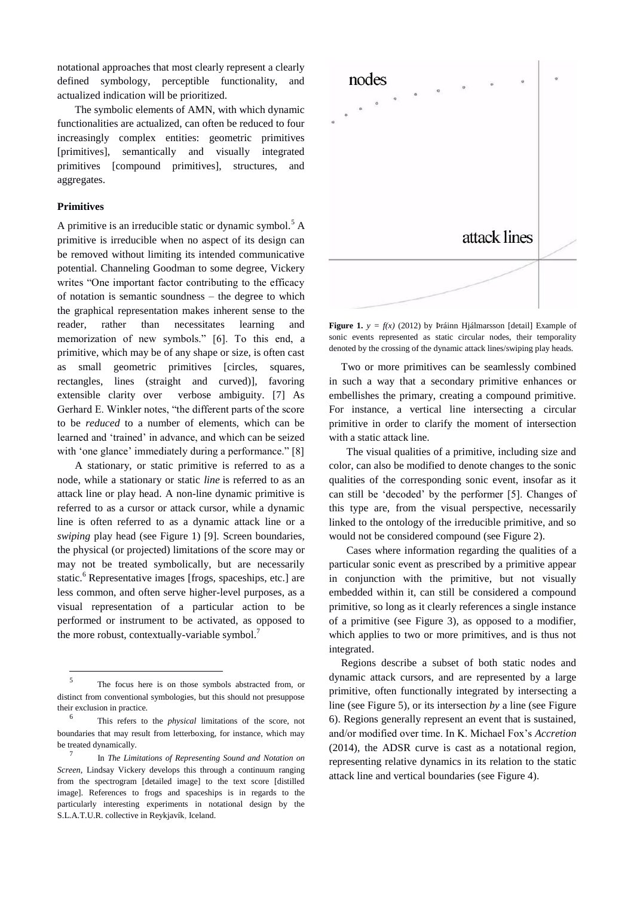notational approaches that most clearly represent a clearly defined symbology, perceptible functionality, and actualized indication will be prioritized.

 The symbolic elements of AMN, with which dynamic functionalities are actualized, can often be reduced to four increasingly complex entities: geometric primitives [primitives], semantically and visually integrated primitives [compound primitives], structures, and aggregates.

## **Primitives**

1

A primitive is an irreducible static or dynamic symbol.<sup>5</sup> A primitive is irreducible when no aspect of its design can be removed without limiting its intended communicative potential. Channeling Goodman to some degree, Vickery writes "One important factor contributing to the efficacy of notation is semantic soundness – the degree to which the graphical representation makes inherent sense to the reader, rather than necessitates learning and memorization of new symbols." [6]. To this end, a primitive, which may be of any shape or size, is often cast as small geometric primitives [circles, squares, rectangles, lines (straight and curved)], favoring extensible clarity over verbose ambiguity. [7] As Gerhard E. Winkler notes, "the different parts of the score to be *reduced* to a number of elements, which can be learned and 'trained' in advance, and which can be seized with 'one glance' immediately during a performance." [8]

 A stationary, or static primitive is referred to as a node, while a stationary or static *line* is referred to as an attack line or play head. A non-line dynamic primitive is referred to as a cursor or attack cursor, while a dynamic line is often referred to as a dynamic attack line or a *swiping* play head (see Figure 1) [9]. Screen boundaries, the physical (or projected) limitations of the score may or may not be treated symbolically, but are necessarily static.<sup>6</sup> Representative images [frogs, spaceships, etc.] are less common, and often serve higher-level purposes, as a visual representation of a particular action to be performed or instrument to be activated, as opposed to the more robust, contextually-variable symbol.<sup>7</sup>



**Figure 1.**  $y = f(x)$  (2012) by Þráinn Hjálmarsson [detail] Example of sonic events represented as static circular nodes, their temporality denoted by the crossing of the dynamic attack lines/swiping play heads.

Two or more primitives can be seamlessly combined in such a way that a secondary primitive enhances or embellishes the primary, creating a compound primitive. For instance, a vertical line intersecting a circular primitive in order to clarify the moment of intersection with a static attack line.

 The visual qualities of a primitive, including size and color, can also be modified to denote changes to the sonic qualities of the corresponding sonic event, insofar as it can still be 'decoded' by the performer [5]. Changes of this type are, from the visual perspective, necessarily linked to the ontology of the irreducible primitive, and so would not be considered compound (see Figure 2).

 Cases where information regarding the qualities of a particular sonic event as prescribed by a primitive appear in conjunction with the primitive, but not visually embedded within it, can still be considered a compound primitive, so long as it clearly references a single instance of a primitive (see Figure 3), as opposed to a modifier, which applies to two or more primitives, and is thus not integrated.

Regions describe a subset of both static nodes and dynamic attack cursors, and are represented by a large primitive, often functionally integrated by intersecting a line (see Figure 5), or its intersection *by* a line (see Figure 6). Regions generally represent an event that is sustained, and/or modified over time. In K. Michael Fox's *Accretion* (2014), the ADSR curve is cast as a notational region, representing relative dynamics in its relation to the static attack line and vertical boundaries (see Figure 4).

<sup>5</sup> The focus here is on those symbols abstracted from, or distinct from conventional symbologies, but this should not presuppose their exclusion in practice.

<sup>6</sup> This refers to the *physical* limitations of the score, not boundaries that may result from letterboxing, for instance, which may be treated dynamically.

<sup>7</sup> In *The Limitations of Representing Sound and Notation on Screen*, Lindsay Vickery develops this through a continuum ranging from the spectrogram [detailed image] to the text score [distilled image]. References to frogs and spaceships is in regards to the particularly interesting experiments in notational design by the S.L.A.T.U.R. collective in Reykjavík, Iceland.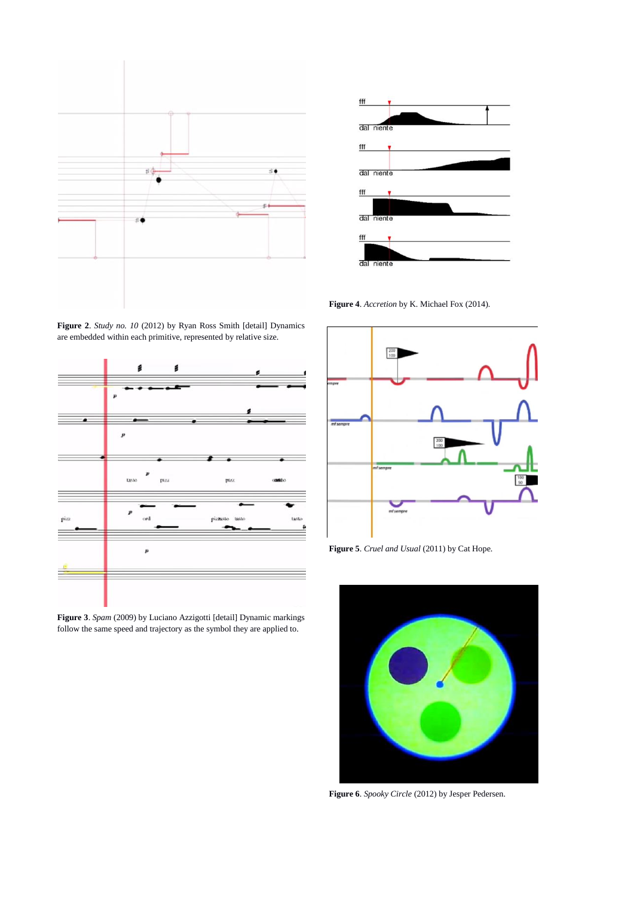

**Figure 2**. *Study no. 10* (2012) by Ryan Ross Smith [detail] Dynamics are embedded within each primitive, represented by relative size.



**Figure 3**. *Spam* (2009) by Luciano Azzigotti [detail] Dynamic markings follow the same speed and trajectory as the symbol they are applied to.



**Figure 4**. *Accretion* by K. Michael Fox (2014).



**Figure 5**. *Cruel and Usual* (2011) by Cat Hope.



**Figure 6**. *Spooky Circle* (2012) by Jesper Pedersen.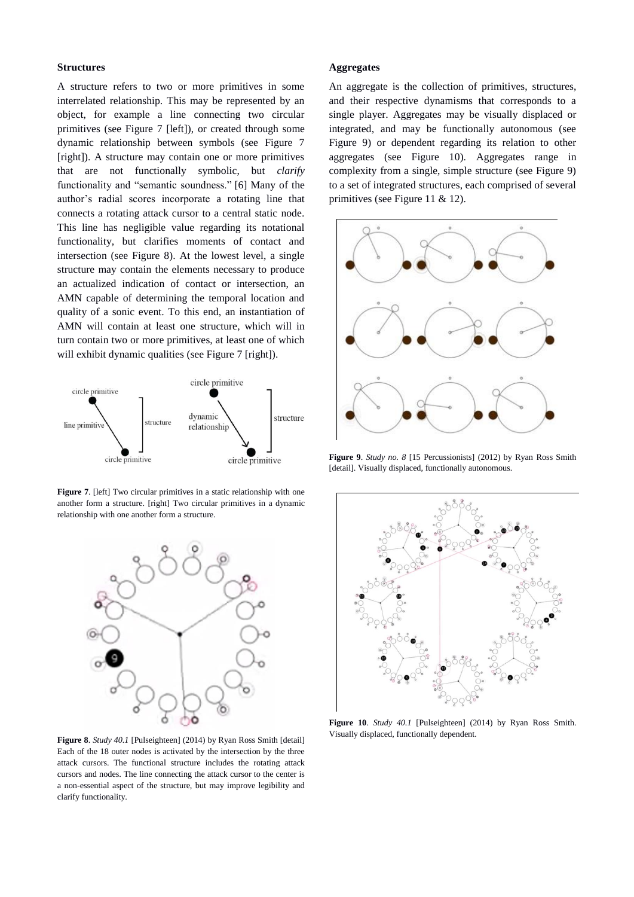#### **Structures**

A structure refers to two or more primitives in some interrelated relationship. This may be represented by an object, for example a line connecting two circular primitives (see Figure 7 [left]), or created through some dynamic relationship between symbols (see Figure 7 [right]). A structure may contain one or more primitives that are not functionally symbolic, but *clarify* functionality and "semantic soundness." [6] Many of the author's radial scores incorporate a rotating line that connects a rotating attack cursor to a central static node. This line has negligible value regarding its notational functionality, but clarifies moments of contact and intersection (see Figure 8). At the lowest level, a single structure may contain the elements necessary to produce an actualized indication of contact or intersection, an AMN capable of determining the temporal location and quality of a sonic event. To this end, an instantiation of AMN will contain at least one structure, which will in turn contain two or more primitives, at least one of which will exhibit dynamic qualities (see Figure 7 [right]).



**Figure 7**. [left] Two circular primitives in a static relationship with one another form a structure. [right] Two circular primitives in a dynamic relationship with one another form a structure.



**Figure 8**. *Study 40.1* [Pulseighteen] (2014) by Ryan Ross Smith [detail] Each of the 18 outer nodes is activated by the intersection by the three attack cursors. The functional structure includes the rotating attack cursors and nodes. The line connecting the attack cursor to the center is a non-essential aspect of the structure, but may improve legibility and clarify functionality.

#### **Aggregates**

An aggregate is the collection of primitives, structures, and their respective dynamisms that corresponds to a single player. Aggregates may be visually displaced or integrated, and may be functionally autonomous (see Figure 9) or dependent regarding its relation to other aggregates (see Figure 10). Aggregates range in complexity from a single, simple structure (see Figure 9) to a set of integrated structures, each comprised of several primitives (see Figure 11 & 12).



**Figure 9**. *Study no. 8* [15 Percussionists] (2012) by Ryan Ross Smith [detail]. Visually displaced, functionally autonomous.



**Figure 10**. *Study 40.1* [Pulseighteen] (2014) by Ryan Ross Smith. Visually displaced, functionally dependent.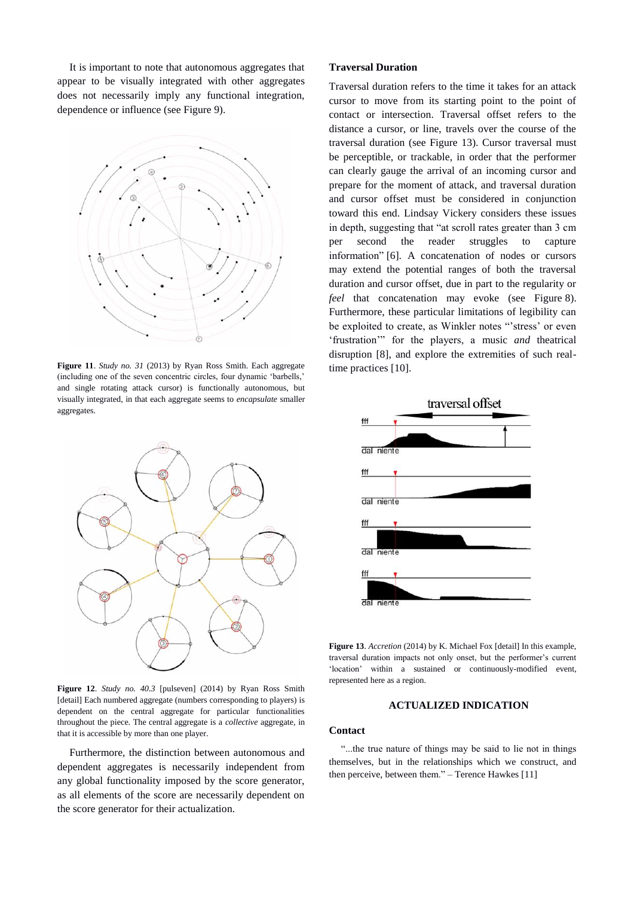It is important to note that autonomous aggregates that appear to be visually integrated with other aggregates does not necessarily imply any functional integration, dependence or influence (see Figure 9).



**Figure 11**. *Study no. 31* (2013) by Ryan Ross Smith. Each aggregate (including one of the seven concentric circles, four dynamic 'barbells,' and single rotating attack cursor) is functionally autonomous, but visually integrated, in that each aggregate seems to *encapsulate* smaller aggregates.



**Figure 12**. *Study no. 40.3* [pulseven] (2014) by Ryan Ross Smith [detail] Each numbered aggregate (numbers corresponding to players) is dependent on the central aggregate for particular functionalities throughout the piece. The central aggregate is a *collective* aggregate, in that it is accessible by more than one player.

Furthermore, the distinction between autonomous and dependent aggregates is necessarily independent from any global functionality imposed by the score generator, as all elements of the score are necessarily dependent on the score generator for their actualization.

## **Traversal Duration**

Traversal duration refers to the time it takes for an attack cursor to move from its starting point to the point of contact or intersection. Traversal offset refers to the distance a cursor, or line, travels over the course of the traversal duration (see Figure 13). Cursor traversal must be perceptible, or trackable, in order that the performer can clearly gauge the arrival of an incoming cursor and prepare for the moment of attack, and traversal duration and cursor offset must be considered in conjunction toward this end. Lindsay Vickery considers these issues in depth, suggesting that "at scroll rates greater than 3 cm per second the reader struggles to capture information" [6]. A concatenation of nodes or cursors may extend the potential ranges of both the traversal duration and cursor offset, due in part to the regularity or *feel* that concatenation may evoke (see Figure 8). Furthermore, these particular limitations of legibility can be exploited to create, as Winkler notes "'stress' or even 'frustration'" for the players, a music *and* theatrical disruption [8], and explore the extremities of such realtime practices [10].



**Figure 13**. *Accretion* (2014) by K. Michael Fox [detail] In this example, traversal duration impacts not only onset, but the performer's current 'location' within a sustained or continuously-modified event, represented here as a region.

#### **ACTUALIZED INDICATION**

## **Contact**

"...the true nature of things may be said to lie not in things themselves, but in the relationships which we construct, and then perceive, between them." – Terence Hawkes [11]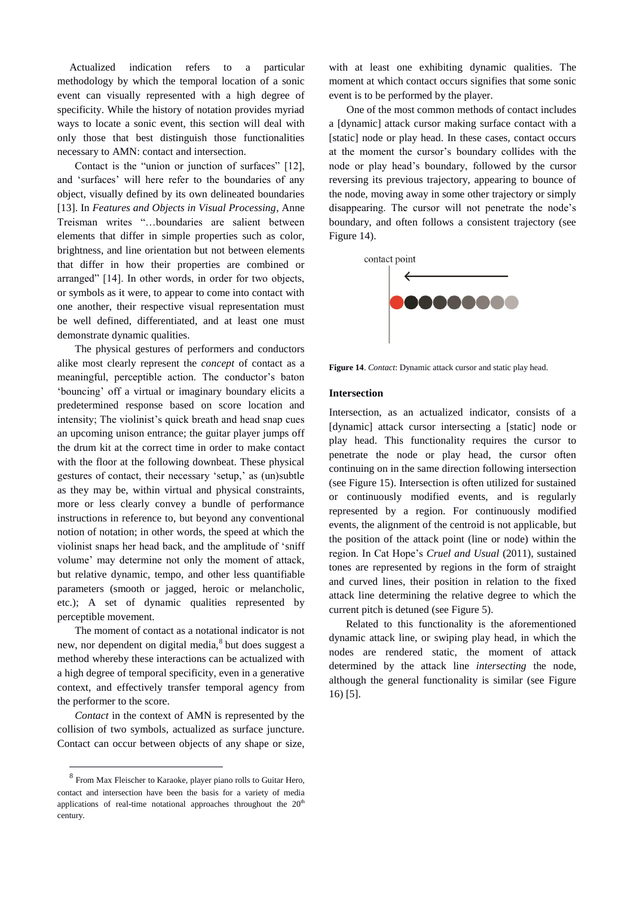Actualized indication refers to a particular methodology by which the temporal location of a sonic event can visually represented with a high degree of specificity. While the history of notation provides myriad ways to locate a sonic event, this section will deal with only those that best distinguish those functionalities necessary to AMN: contact and intersection.

 Contact is the "union or junction of surfaces" [12], and 'surfaces' will here refer to the boundaries of any object, visually defined by its own delineated boundaries [13]. In *Features and Objects in Visual Processing*, Anne Treisman writes "…boundaries are salient between elements that differ in simple properties such as color, brightness, and line orientation but not between elements that differ in how their properties are combined or arranged" [14]. In other words, in order for two objects, or symbols as it were, to appear to come into contact with one another, their respective visual representation must be well defined, differentiated, and at least one must demonstrate dynamic qualities.

 The physical gestures of performers and conductors alike most clearly represent the *concept* of contact as a meaningful, perceptible action. The conductor's baton 'bouncing' off a virtual or imaginary boundary elicits a predetermined response based on score location and intensity; The violinist's quick breath and head snap cues an upcoming unison entrance; the guitar player jumps off the drum kit at the correct time in order to make contact with the floor at the following downbeat. These physical gestures of contact, their necessary 'setup,' as (un)subtle as they may be, within virtual and physical constraints, more or less clearly convey a bundle of performance instructions in reference to, but beyond any conventional notion of notation; in other words, the speed at which the violinist snaps her head back, and the amplitude of 'sniff volume' may determine not only the moment of attack, but relative dynamic, tempo, and other less quantifiable parameters (smooth or jagged, heroic or melancholic, etc.); A set of dynamic qualities represented by perceptible movement.

 The moment of contact as a notational indicator is not new, nor dependent on digital media, $^8$  but does suggest a method whereby these interactions can be actualized with a high degree of temporal specificity, even in a generative context, and effectively transfer temporal agency from the performer to the score.

 *Contact* in the context of AMN is represented by the collision of two symbols, actualized as surface juncture. Contact can occur between objects of any shape or size,

-

with at least one exhibiting dynamic qualities. The moment at which contact occurs signifies that some sonic event is to be performed by the player.

One of the most common methods of contact includes a [dynamic] attack cursor making surface contact with a [static] node or play head. In these cases, contact occurs at the moment the cursor's boundary collides with the node or play head's boundary, followed by the cursor reversing its previous trajectory, appearing to bounce of the node, moving away in some other trajectory or simply disappearing. The cursor will not penetrate the node's boundary, and often follows a consistent trajectory (see Figure 14).



**Figure 14**. *Contact*: Dynamic attack cursor and static play head.

#### **Intersection**

Intersection, as an actualized indicator, consists of a [dynamic] attack cursor intersecting a [static] node or play head. This functionality requires the cursor to penetrate the node or play head, the cursor often continuing on in the same direction following intersection (see Figure 15). Intersection is often utilized for sustained or continuously modified events, and is regularly represented by a region. For continuously modified events, the alignment of the centroid is not applicable, but the position of the attack point (line or node) within the region. In Cat Hope's *Cruel and Usual* (2011), sustained tones are represented by regions in the form of straight and curved lines, their position in relation to the fixed attack line determining the relative degree to which the current pitch is detuned (see Figure 5).

Related to this functionality is the aforementioned dynamic attack line, or swiping play head, in which the nodes are rendered static, the moment of attack determined by the attack line *intersecting* the node, although the general functionality is similar (see Figure 16) [5].

<sup>8</sup> From Max Fleischer to Karaoke, player piano rolls to Guitar Hero, contact and intersection have been the basis for a variety of media applications of real-time notational approaches throughout the  $20<sup>th</sup>$ century.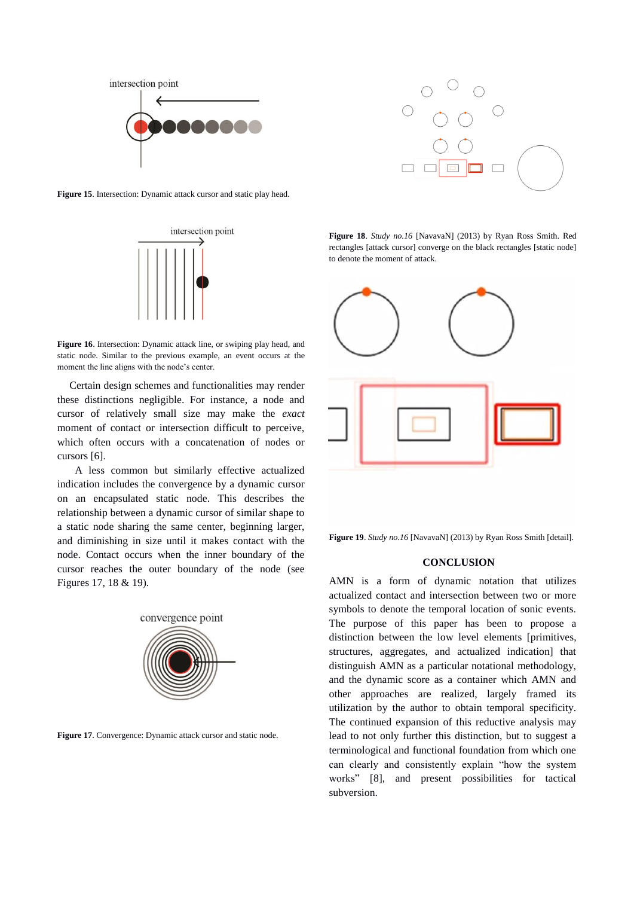

**Figure 15**. Intersection: Dynamic attack cursor and static play head.



**Figure 16**. Intersection: Dynamic attack line, or swiping play head, and static node. Similar to the previous example, an event occurs at the moment the line aligns with the node's center.

Certain design schemes and functionalities may render these distinctions negligible. For instance, a node and cursor of relatively small size may make the *exact* moment of contact or intersection difficult to perceive, which often occurs with a concatenation of nodes or cursors [6].

 A less common but similarly effective actualized indication includes the convergence by a dynamic cursor on an encapsulated static node. This describes the relationship between a dynamic cursor of similar shape to a static node sharing the same center, beginning larger, and diminishing in size until it makes contact with the node. Contact occurs when the inner boundary of the cursor reaches the outer boundary of the node (see Figures 17, 18 & 19).



**Figure 17**. Convergence: Dynamic attack cursor and static node.



**Figure 18**. *Study no.16* [NavavaN] (2013) by Ryan Ross Smith. Red rectangles [attack cursor] converge on the black rectangles [static node] to denote the moment of attack.



**Figure 19**. *Study no.16* [NavavaN] (2013) by Ryan Ross Smith [detail].

#### **CONCLUSION**

AMN is a form of dynamic notation that utilizes actualized contact and intersection between two or more symbols to denote the temporal location of sonic events. The purpose of this paper has been to propose a distinction between the low level elements [primitives, structures, aggregates, and actualized indication] that distinguish AMN as a particular notational methodology, and the dynamic score as a container which AMN and other approaches are realized, largely framed its utilization by the author to obtain temporal specificity. The continued expansion of this reductive analysis may lead to not only further this distinction, but to suggest a terminological and functional foundation from which one can clearly and consistently explain "how the system works" [8], and present possibilities for tactical subversion.